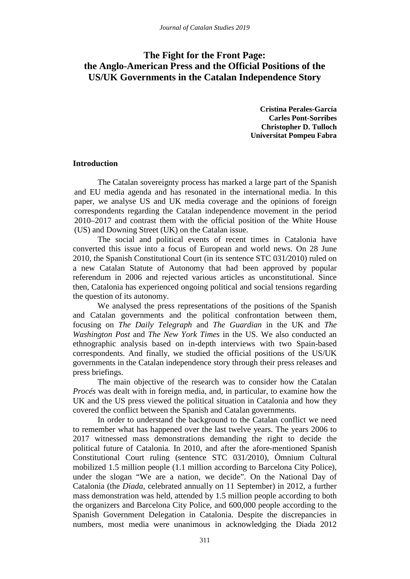# **The Fight for the Front Page: the Anglo-American Press and the Official Positions of the US/UK Governments in the Catalan Independence Story**

**Cristina Perales-García Carles Pont-Sorribes Christopher D. Tulloch Universitat Pompeu Fabra**

#### **Introduction**

The Catalan sovereignty process has marked a large part of the Spanish and EU media agenda and has resonated in the international media. In this paper, we analyse US and UK media coverage and the opinions of foreign correspondents regarding the Catalan independence movement in the period 2010–2017 and contrast them with the official position of the White House (US) and Downing Street (UK) on the Catalan issue.

The social and political events of recent times in Catalonia have converted this issue into a focus of European and world news. On 28 June 2010, the Spanish Constitutional Court (in its sentence STC 031/2010) ruled on a new Catalan Statute of Autonomy that had been approved by popular referendum in 2006 and rejected various articles as unconstitutional. Since then, Catalonia has experienced ongoing political and social tensions regarding the question of its autonomy.

We analysed the press representations of the positions of the Spanish and Catalan governments and the political confrontation between them, focusing on *The Daily Telegraph* and *The Guardian* in the UK and *The Washington Post* and *The New York Times* in the US. We also conducted an ethnographic analysis based on in-depth interviews with two Spain-based correspondents. And finally, we studied the official positions of the US/UK governments in the Catalan independence story through their press releases and press briefings.

The main objective of the research was to consider how the Catalan *Procés* was dealt with in foreign media, and, in particular, to examine how the UK and the US press viewed the political situation in Catalonia and how they covered the conflict between the Spanish and Catalan governments.

In order to understand the background to the Catalan conflict we need to remember what has happened over the last twelve years. The years 2006 to 2017 witnessed mass demonstrations demanding the right to decide the political future of Catalonia. In 2010, and after the afore-mentioned Spanish Constitutional Court ruling (sentence STC 031/2010), Òmnium Cultural mobilized 1.5 million people (1.1 million according to Barcelona City Police), under the slogan "We are a nation, we decide". On the National Day of Catalonia (the *Diada*, celebrated annually on 11 September) in 2012, a further mass demonstration was held, attended by 1.5 million people according to both the organizers and Barcelona City Police, and 600,000 people according to the Spanish Government Delegation in Catalonia. Despite the discrepancies in numbers, most media were unanimous in acknowledging the Diada 2012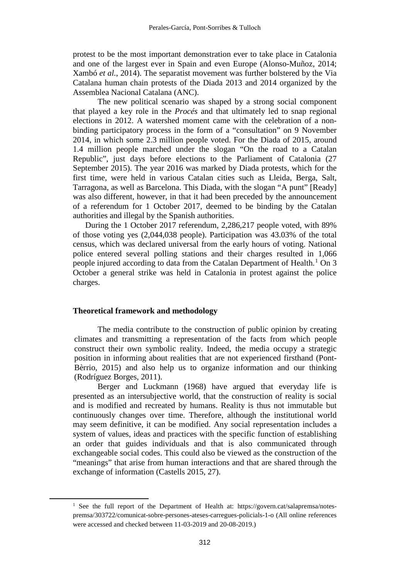protest to be the most important demonstration ever to take place in Catalonia and one of the largest ever in Spain and even Europe (Alonso-Muñoz, 2014; Xambó *et al.*, 2014). The separatist movement was further bolstered by the Via Catalana human chain protests of the Diada 2013 and 2014 organized by the Assemblea Nacional Catalana (ANC).

The new political scenario was shaped by a strong social component that played a key role in the *Procés* and that ultimately led to snap regional elections in 2012. A watershed moment came with the celebration of a nonbinding participatory process in the form of a "consultation" on 9 November 2014, in which some 2.3 million people voted. For the Diada of 2015, around 1.4 million people marched under the slogan "On the road to a Catalan Republic", just days before elections to the Parliament of Catalonia (27 September 2015). The year 2016 was marked by Diada protests, which for the first time, were held in various Catalan cities such as Lleida, Berga, Salt, Tarragona, as well as Barcelona. This Diada, with the slogan "A punt" [Ready] was also different, however, in that it had been preceded by the announcement of a referendum for 1 October 2017, deemed to be binding by the Catalan authorities and illegal by the Spanish authorities.

During the 1 October 2017 referendum, 2,286,217 people voted, with 89% of those voting yes (2,044,038 people). Participation was 43.03% of the total census, which was declared universal from the early hours of voting. National police entered several polling stations and their charges resulted in 1,066 people injured according to data from the Catalan Department of Health.<sup>[1](#page-1-0)</sup> On 3 October a general strike was held in Catalonia in protest against the police charges.

#### **Theoretical framework and methodology**

The media contribute to the construction of public opinion by creating climates and transmitting a representation of the facts from which people construct their own symbolic reality. Indeed, the media occupy a strategic position in informing about realities that are not experienced firsthand (Pont-Bèrrio, 2015) and also help us to organize information and our thinking (Rodríguez Borges, 2011).

Berger and Luckmann (1968) have argued that everyday life is presented as an intersubjective world, that the construction of reality is social and is modified and recreated by humans. Reality is thus not immutable but continuously changes over time. Therefore, although the institutional world may seem definitive, it can be modified. Any social representation includes a system of values, ideas and practices with the specific function of establishing an order that guides individuals and that is also communicated through exchangeable social codes. This could also be viewed as the construction of the "meanings" that arise from human interactions and that are shared through the exchange of information (Castells 2015, 27).

<span id="page-1-0"></span><sup>&</sup>lt;sup>1</sup> See the full report of the Department of Health at: [https://govern.cat/salapremsa/notes](https://govern.cat/salapremsa/notes-premsa/303722/comunicat-sobre-persones-ateses-carregues-policials-1-o)[premsa/303722/comunicat-sobre-persones-ateses-carregues-policials-1-o](https://govern.cat/salapremsa/notes-premsa/303722/comunicat-sobre-persones-ateses-carregues-policials-1-o) (All online references were accessed and checked between 11-03-2019 and 20-08-2019.)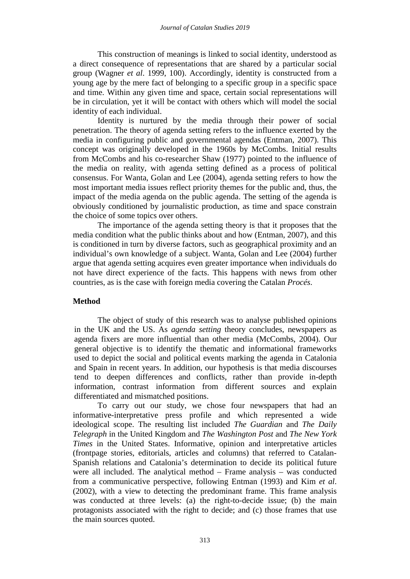This construction of meanings is linked to social identity, understood as a direct consequence of representations that are shared by a particular social group (Wagner *et al*. 1999, 100). Accordingly, identity is constructed from a young age by the mere fact of belonging to a specific group in a specific space and time. Within any given time and space, certain social representations will be in circulation, yet it will be contact with others which will model the social identity of each individual.

Identity is nurtured by the media through their power of social penetration. The theory of agenda setting refers to the influence exerted by the media in configuring public and governmental agendas (Entman, 2007). This concept was originally developed in the 1960s by McCombs. Initial results from McCombs and his co-researcher Shaw (1977) pointed to the influence of the media on reality, with agenda setting defined as a process of political consensus. For Wanta, Golan and Lee (2004), agenda setting refers to how the most important media issues reflect priority themes for the public and, thus, the impact of the media agenda on the public agenda. The setting of the agenda is obviously conditioned by journalistic production, as time and space constrain the choice of some topics over others.

The importance of the agenda setting theory is that it proposes that the media condition what the public thinks about and how (Entman, 2007), and this is conditioned in turn by diverse factors, such as geographical proximity and an individual's own knowledge of a subject. Wanta, Golan and Lee (2004) further argue that agenda setting acquires even greater importance when individuals do not have direct experience of the facts. This happens with news from other countries, as is the case with foreign media covering the Catalan *Procés*.

# **Method**

The object of study of this research was to analyse published opinions in the UK and the US. As *agenda setting* theory concludes, newspapers as agenda fixers are more influential than other media (McCombs, 2004). Our general objective is to identify the thematic and informational frameworks used to depict the social and political events marking the agenda in Catalonia and Spain in recent years. In addition, our hypothesis is that media discourses tend to deepen differences and conflicts, rather than provide in-depth information, contrast information from different sources and explain differentiated and mismatched positions.

To carry out our study, we chose four newspapers that had an informative-interpretative press profile and which represented a wide ideological scope. The resulting list included *The Guardian* and *The Daily Telegraph* in the United Kingdom and *The Washington Post* and *The New York Times* in the United States. Informative, opinion and interpretative articles (frontpage stories, editorials, articles and columns) that referred to Catalan-Spanish relations and Catalonia's determination to decide its political future were all included. The analytical method – Frame analysis – was conducted from a communicative perspective, following Entman (1993) and Kim *et al*. (2002), with a view to detecting the predominant frame. This frame analysis was conducted at three levels: (a) the right-to-decide issue; (b) the main protagonists associated with the right to decide; and (c) those frames that use the main sources quoted.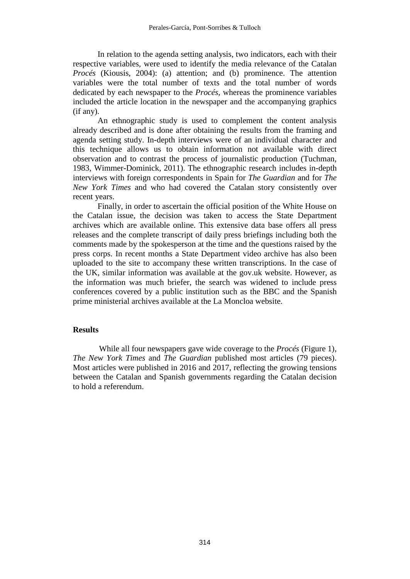In relation to the agenda setting analysis, two indicators, each with their respective variables, were used to identify the media relevance of the Catalan *Procés* (Kiousis, 2004): (a) attention; and (b) prominence. The attention variables were the total number of texts and the total number of words dedicated by each newspaper to the *Procés*, whereas the prominence variables included the article location in the newspaper and the accompanying graphics (if any).

An ethnographic study is used to complement the content analysis already described and is done after obtaining the results from the framing and agenda setting study. In-depth interviews were of an individual character and this technique allows us to obtain information not available with direct observation and to contrast the process of journalistic production (Tuchman, 1983, Wimmer-Dominick, 2011). The ethnographic research includes in-depth interviews with foreign correspondents in Spain for *The Guardian* and for *The New York Times* and who had covered the Catalan story consistently over recent years.

Finally, in order to ascertain the official position of the White House on the Catalan issue, the decision was taken to access the State Department archives which are available online. This extensive data base offers all press releases and the complete transcript of daily press briefings including both the comments made by the spokesperson at the time and the questions raised by the press corps. In recent months a State Department video archive has also been uploaded to the site to accompany these written transcriptions. In the case of the UK, similar information was available at the gov.uk website. However, as the information was much briefer, the search was widened to include press conferences covered by a public institution such as the BBC and the Spanish prime ministerial archives available at the La Moncloa website.

## **Results**

While all four newspapers gave wide coverage to the *Procés* (Figure 1), *The New York Times* and *The Guardian* published most articles (79 pieces). Most articles were published in 2016 and 2017, reflecting the growing tensions between the Catalan and Spanish governments regarding the Catalan decision to hold a referendum.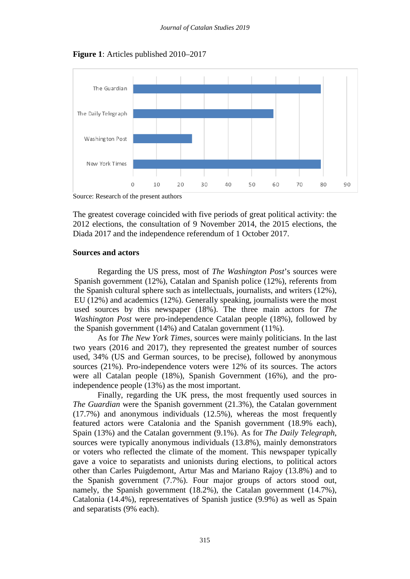**Figure 1**: Articles published 2010–2017



Source: Research of the present authors

The greatest coverage coincided with five periods of great political activity: the 2012 elections, the consultation of 9 November 2014, the 2015 elections, the Diada 2017 and the independence referendum of 1 October 2017.

## **Sources and actors**

Regarding the US press, most of *The Washington Post*'s sources were Spanish government (12%), Catalan and Spanish police (12%), referents from the Spanish cultural sphere such as intellectuals, journalists, and writers (12%), EU (12%) and academics (12%). Generally speaking, journalists were the most used sources by this newspaper (18%). The three main actors for *The Washington Post* were pro-independence Catalan people (18%), followed by the Spanish government (14%) and Catalan government (11%).

As for *The New York Times*, sources were mainly politicians. In the last two years (2016 and 2017), they represented the greatest number of sources used, 34% (US and German sources, to be precise), followed by anonymous sources (21%). Pro-independence voters were 12% of its sources. The actors were all Catalan people (18%), Spanish Government (16%), and the proindependence people (13%) as the most important.

Finally, regarding the UK press, the most frequently used sources in *The Guardian* were the Spanish government (21.3%), the Catalan government (17.7%) and anonymous individuals (12.5%), whereas the most frequently featured actors were Catalonia and the Spanish government (18.9% each), Spain (13%) and the Catalan government (9.1%). As for *The Daily Telegraph*, sources were typically anonymous individuals (13.8%), mainly demonstrators or voters who reflected the climate of the moment. This newspaper typically gave a voice to separatists and unionists during elections, to political actors other than Carles Puigdemont, Artur Mas and Mariano Rajoy (13.8%) and to the Spanish government (7.7%). Four major groups of actors stood out, namely, the Spanish government (18.2%), the Catalan government (14.7%), Catalonia (14.4%), representatives of Spanish justice (9.9%) as well as Spain and separatists (9% each).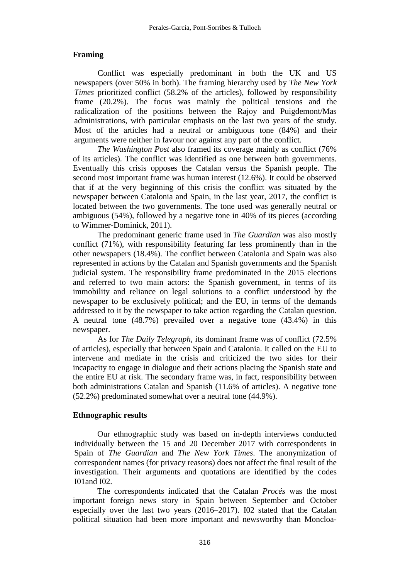# **Framing**

Conflict was especially predominant in both the UK and US newspapers (over 50% in both). The framing hierarchy used by *The New York Times* prioritized conflict (58.2% of the articles), followed by responsibility frame (20.2%). The focus was mainly the political tensions and the radicalization of the positions between the Rajoy and Puigdemont/Mas administrations, with particular emphasis on the last two years of the study. Most of the articles had a neutral or ambiguous tone (84%) and their arguments were neither in favour nor against any part of the conflict.

*The Washington Post* also framed its coverage mainly as conflict (76% of its articles). The conflict was identified as one between both governments. Eventually this crisis opposes the Catalan versus the Spanish people. The second most important frame was human interest (12.6%). It could be observed that if at the very beginning of this crisis the conflict was situated by the newspaper between Catalonia and Spain, in the last year, 2017, the conflict is located between the two governments. The tone used was generally neutral or ambiguous (54%), followed by a negative tone in 40% of its pieces (according to Wimmer-Dominick, 2011).

The predominant generic frame used in *The Guardian* was also mostly conflict (71%), with responsibility featuring far less prominently than in the other newspapers (18.4%). The conflict between Catalonia and Spain was also represented in actions by the Catalan and Spanish governments and the Spanish judicial system. The responsibility frame predominated in the 2015 elections and referred to two main actors: the Spanish government, in terms of its immobility and reliance on legal solutions to a conflict understood by the newspaper to be exclusively political; and the EU, in terms of the demands addressed to it by the newspaper to take action regarding the Catalan question. A neutral tone (48.7%) prevailed over a negative tone (43.4%) in this newspaper.

As for *The Daily Telegraph*, its dominant frame was of conflict (72.5% of articles), especially that between Spain and Catalonia. It called on the EU to intervene and mediate in the crisis and criticized the two sides for their incapacity to engage in dialogue and their actions placing the Spanish state and the entire EU at risk. The secondary frame was, in fact, responsibility between both administrations Catalan and Spanish (11.6% of articles). A negative tone (52.2%) predominated somewhat over a neutral tone (44.9%).

# **Ethnographic results**

Our ethnographic study was based on in-depth interviews conducted individually between the 15 and 20 December 2017 with correspondents in Spain of *The Guardian* and *The New York Times*. The anonymization of correspondent names (for privacy reasons) does not affect the final result of the investigation. Their arguments and quotations are identified by the codes I01and I02.

The correspondents indicated that the Catalan *Procés* was the most important foreign news story in Spain between September and October especially over the last two years (2016–2017). I02 stated that the Catalan political situation had been more important and newsworthy than Moncloa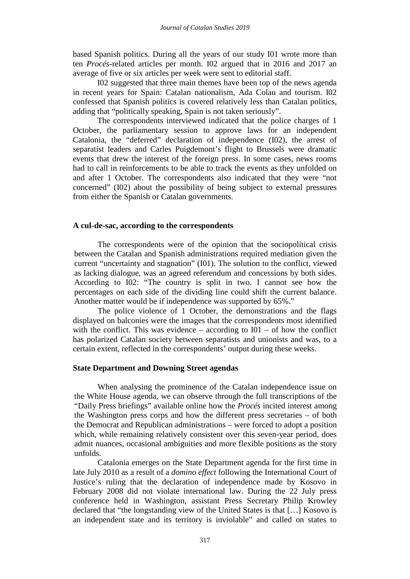based Spanish politics. During all the years of our study I01 wrote more than ten *Procés*-related articles per month. I02 argued that in 2016 and 2017 an average of five or six articles per week were sent to editorial staff.

I02 suggested that three main themes have been top of the news agenda in recent years for Spain: Catalan nationalism, Ada Colau and tourism. I02 confessed that Spanish politics is covered relatively less than Catalan politics, adding that "politically speaking, Spain is not taken seriously".

The correspondents interviewed indicated that the police charges of 1 October, the parliamentary session to approve laws for an independent Catalonia, the "deferred" declaration of independence (I02), the arrest of separatist leaders and Carles Puigdemont's flight to Brussels were dramatic events that drew the interest of the foreign press. In some cases, news rooms had to call in reinforcements to be able to track the events as they unfolded on and after 1 October. The correspondents also indicated that they were "not concerned" (I02) about the possibility of being subject to external pressures from either the Spanish or Catalan governments.

## **A cul-de-sac, according to the correspondents**

The correspondents were of the opinion that the sociopolitical crisis between the Catalan and Spanish administrations required mediation given the current "uncertainty and stagnation" (I01). The solution to the conflict, viewed as lacking dialogue, was an agreed referendum and concessions by both sides. According to I02: "The country is split in two. I cannot see how the percentages on each side of the dividing line could shift the current balance. Another matter would be if independence was supported by 65%."

The police violence of 1 October, the demonstrations and the flags displayed on balconies were the images that the correspondents most identified with the conflict. This was evidence – according to  $I(01 - of how the conflict)$ has polarized Catalan society between separatists and unionists and was, to a certain extent, reflected in the correspondents' output during these weeks.

#### **State Department and Downing Street agendas**

When analysing the prominence of the Catalan independence issue on the White House agenda, we can observe through the full transcriptions of the "Daily Press briefings" available online how the *Procés* incited interest among the Washington press corps and how the different press secretaries – of both the Democrat and Republican administrations – were forced to adopt a position which, while remaining relatively consistent over this seven-year period, does admit nuances, occasional ambiguities and more flexible positions as the story unfolds.

Catalonia emerges on the State Department agenda for the first time in late July 2010 as a result of a *domino effect* following the International Court of Justice's ruling that the declaration of independence made by Kosovo in February 2008 did not violate international law. During the 22 July press conference held in Washington, assistant Press Secretary Philip Krowley declared that "the longstanding view of the United States is that […] Kosovo is an independent state and its territory is inviolable" and called on states to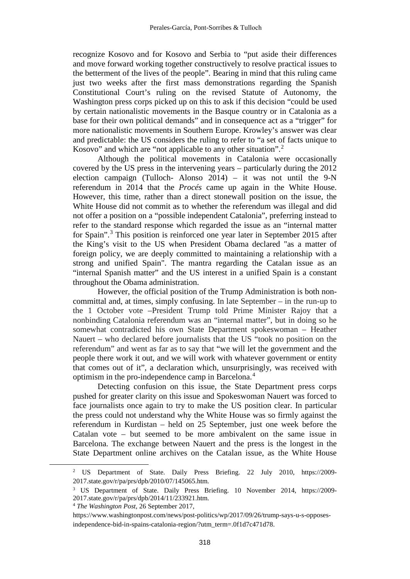recognize Kosovo and for Kosovo and Serbia to "put aside their differences and move forward working together constructively to resolve practical issues to the betterment of the lives of the people". Bearing in mind that this ruling came just two weeks after the first mass demonstrations regarding the Spanish Constitutional Court's ruling on the revised Statute of Autonomy, the Washington press corps picked up on this to ask if this decision "could be used by certain nationalistic movements in the Basque country or in Catalonia as a base for their own political demands" and in consequence act as a "trigger" for more nationalistic movements in Southern Europe. Krowley's answer was clear and predictable: the US considers the ruling to refer to "a set of facts unique to Kosovo" and which are "not applicable to any other situation".<sup>[2](#page-7-0)</sup>

Although the political movements in Catalonia were occasionally covered by the US press in the intervening years – particularly during the 2012 election campaign (Tulloch- Alonso 2014) – it was not until the 9-N referendum in 2014 that the *Procés* came up again in the White House. However, this time, rather than a direct stonewall position on the issue, the White House did not commit as to whether the referendum was illegal and did not offer a position on a "possible independent Catalonia", preferring instead to refer to the standard response which regarded the issue as an "internal matter for Spain".[3](#page-7-1) This position is reinforced one year later in September 2015 after the King's visit to the US when President Obama declared "as a matter of foreign policy, we are deeply committed to maintaining a relationship with a strong and unified Spain". The mantra regarding the Catalan issue as an "internal Spanish matter" and the US interest in a unified Spain is a constant throughout the Obama administration.

However, the official position of the Trump Administration is both noncommittal and, at times, simply confusing. In late September – in the run-up to the 1 October vote –President Trump told Prime Minister Rajoy that a nonbinding Catalonia referendum was an "internal matter", but in doing so he somewhat contradicted his own State Department spokeswoman – Heather Nauert – who declared before journalists that the US "took no position on the referendum" and went as far as to say that "we will let the government and the people there work it out, and we will work with whatever government or entity that comes out of it", a declaration which, unsurprisingly, was received with optimism in the pro-independence camp in Barcelona.[4](#page-7-2)

Detecting confusion on this issue, the State Department press corps pushed for greater clarity on this issue and Spokeswoman Nauert was forced to face journalists once again to try to make the US position clear. In particular the press could not understand why the White House was so firmly against the referendum in Kurdistan – held on 25 September, just one week before the Catalan vote – but seemed to be more ambivalent on the same issue in Barcelona. The exchange between Nauert and the press is the longest in the State Department online archives on the Catalan issue, as the White House

<span id="page-7-0"></span><sup>&</sup>lt;sup>2</sup> US Department of State. Daily Press Briefing. 22 July 2010, [https://2009-](https://2009-2017.state.gov/r/pa/prs/dpb/2010/07/145065.htm)

<span id="page-7-1"></span>[<sup>2017.</sup>state.gov/r/pa/prs/dpb/2010/07/145065.htm.](https://2009-2017.state.gov/r/pa/prs/dpb/2010/07/145065.htm) 3 US Department of State. Daily Press Briefing. 10 November 2014, [https://2009-](https://2009-2017.state.gov/r/pa/prs/dpb/2014/11/233921.htm) [2017.state.gov/r/pa/prs/dpb/2014/11/233921.htm.](https://2009-2017.state.gov/r/pa/prs/dpb/2014/11/233921.htm) 4 *The Washington Post*, 26 September 2017,

<span id="page-7-2"></span>[https://www.washingtonpost.com/news/post-politics/wp/2017/09/26/trump-says-u-s-opposes](https://www.washingtonpost.com/news/post-politics/wp/2017/09/26/trump-says-u-s-opposes-independence-bid-in-spains-catalonia-region/?utm_term=.0f1d7c471d78)[independence-bid-in-spains-catalonia-region/?utm\\_term=.0f1d7c471d78.](https://www.washingtonpost.com/news/post-politics/wp/2017/09/26/trump-says-u-s-opposes-independence-bid-in-spains-catalonia-region/?utm_term=.0f1d7c471d78)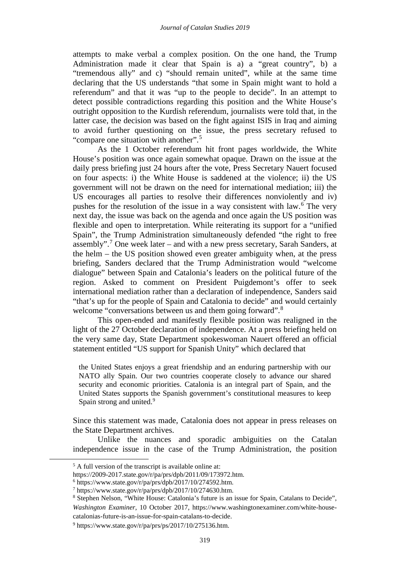attempts to make verbal a complex position. On the one hand, the Trump Administration made it clear that Spain is a) a "great country", b) a "tremendous ally" and c) "should remain united", while at the same time declaring that the US understands "that some in Spain might want to hold a referendum" and that it was "up to the people to decide". In an attempt to detect possible contradictions regarding this position and the White House's outright opposition to the Kurdish referendum, journalists were told that, in the latter case, the decision was based on the fight against ISIS in Iraq and aiming to avoid further questioning on the issue, the press secretary refused to "compare one situation with another".[5](#page-8-0)

As the 1 October referendum hit front pages worldwide, the White House's position was once again somewhat opaque. Drawn on the issue at the daily press briefing just 24 hours after the vote, Press Secretary Nauert focused on four aspects: i) the White House is saddened at the violence; ii) the US government will not be drawn on the need for international mediation; iii) the US encourages all parties to resolve their differences nonviolently and iv) pushes for the resolution of the issue in a way consistent with law.[6](#page-8-1) The very next day, the issue was back on the agenda and once again the US position was flexible and open to interpretation. While reiterating its support for a "unified Spain", the Trump Administration simultaneously defended "the right to free assembly".<sup>[7](#page-8-2)</sup> One week later – and with a new press secretary, Sarah Sanders, at the helm – the US position showed even greater ambiguity when, at the press briefing, Sanders declared that the Trump Administration would "welcome dialogue" between Spain and Catalonia's leaders on the political future of the region. Asked to comment on President Puigdemont's offer to seek international mediation rather than a declaration of independence, Sanders said "that's up for the people of Spain and Catalonia to decide" and would certainly welcome "conversations between us and them going forward".<sup>[8](#page-8-3)</sup>

This open-ended and manifestly flexible position was realigned in the light of the 27 October declaration of independence. At a press briefing held on the very same day, State Department spokeswoman Nauert offered an official statement entitled "US support for Spanish Unity" which declared that

the United States enjoys a great friendship and an enduring partnership with our NATO ally Spain. Our two countries cooperate closely to advance our shared security and economic priorities. Catalonia is an integral part of Spain, and the United States supports the Spanish government's constitutional measures to keep Spain strong and united.<sup>[9](#page-8-4)</sup>

Since this statement was made, Catalonia does not appear in press releases on the State Department archives.

Unlike the nuances and sporadic ambiguities on the Catalan independence issue in the case of the Trump Administration, the position

<sup>&</sup>lt;sup>5</sup> A full version of the transcript is available online at:

<span id="page-8-3"></span><span id="page-8-2"></span>

<span id="page-8-1"></span><span id="page-8-0"></span>https://2009-2017.state.gov/r/pa/prs/dpb/2011/09/173972.htm.<br>
<sup>6</sup> [https://www.state.gov/r/pa/prs/dpb/2017/10/274592.htm.](https://www.state.gov/r/pa/prs/dpb/2017/10/274592.htm)<br>
<sup>7</sup> [https://www.state.gov/r/pa/prs/dpb/2017/10/274630.htm.](https://www.state.gov/r/pa/prs/dpb/2017/10/274630.htm)<br>
<sup>8</sup> Stephen Nelson, "White House: Catalo *Washington Examiner*, 10 October 2017, https://www.washingtonexaminer.com/white-house-

<span id="page-8-4"></span>catalonias-future-is-an-issue-for-spain-catalans-to-decide. 9 [https://www.state.gov/r/pa/prs/ps/2017/10/275136.htm.](https://www.state.gov/r/pa/prs/ps/2017/10/275136.htm)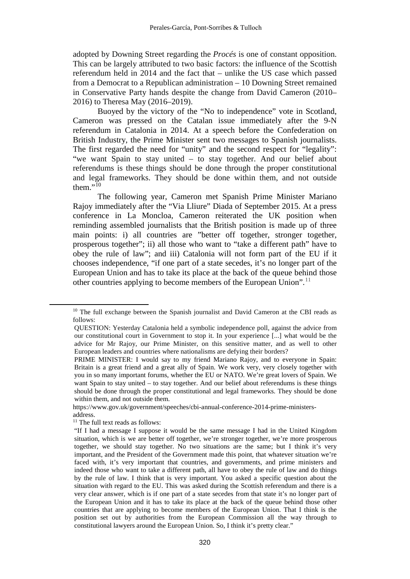adopted by Downing Street regarding the *Procés* is one of constant opposition. This can be largely attributed to two basic factors: the influence of the Scottish referendum held in 2014 and the fact that – unlike the US case which passed from a Democrat to a Republican administration – 10 Downing Street remained in Conservative Party hands despite the change from David Cameron (2010– 2016) to Theresa May (2016–2019).

Buoyed by the victory of the "No to independence" vote in Scotland, Cameron was pressed on the Catalan issue immediately after the 9-N referendum in Catalonia in 2014. At a speech before the Confederation on British Industry, the Prime Minister sent two messages to Spanish journalists. The first regarded the need for "unity" and the second respect for "legality": "we want Spain to stay united – to stay together. And our belief about referendums is these things should be done through the proper constitutional and legal frameworks. They should be done within them, and not outside them. $\overline{10}$  $\overline{10}$  $\overline{10}$ 

The following year, Cameron met Spanish Prime Minister Mariano Rajoy immediately after the "Via Lliure" Diada of September 2015. At a press conference in La Moncloa, Cameron reiterated the UK position when reminding assembled journalists that the British position is made up of three main points: i) all countries are "better off together, stronger together, prosperous together"; ii) all those who want to "take a different path" have to obey the rule of law"; and iii) Catalonia will not form part of the EU if it chooses independence, "if one part of a state secedes, it's no longer part of the European Union and has to take its place at the back of the queue behind those other countries applying to become members of the European Union".<sup>[11](#page-9-1)</sup>

<span id="page-9-0"></span><sup>&</sup>lt;sup>10</sup> The full exchange between the Spanish journalist and David Cameron at the CBI reads as follows:

QUESTION: Yesterday Catalonia held a symbolic independence poll, against the advice from our constitutional court in Government to stop it. In your experience [...] what would be the advice for Mr Rajoy, our Prime Minister, on this sensitive matter, and as well to other European leaders and countries where nationalisms are defying their borders?

PRIME MINISTER: I would say to my friend Mariano Rajoy, and to everyone in Spain: Britain is a great friend and a great ally of Spain. We work very, very closely together with you in so many important forums, whether the EU or NATO. We're great lovers of Spain. We want Spain to stay united – to stay together. And our belief about referendums is these things should be done through the proper constitutional and legal frameworks. They should be done within them, and not outside them.

[https://www.gov.uk/government/speeches/cbi-annual-conference-2014-prime-ministers](https://www.gov.uk/government/speeches/cbi-annual-conference-2014-prime-ministers-address)[address.](https://www.gov.uk/government/speeches/cbi-annual-conference-2014-prime-ministers-address)<br><sup>11</sup> The full text reads as follows:

<span id="page-9-1"></span>

<sup>&</sup>quot;If I had a message I suppose it would be the same message I had in the United Kingdom situation, which is we are better off together, we're stronger together, we're more prosperous together, we should stay together. No two situations are the same; but I think it's very important, and the President of the Government made this point, that whatever situation we're faced with, it's very important that countries, and governments, and prime ministers and indeed those who want to take a different path, all have to obey the rule of law and do things by the rule of law. I think that is very important. You asked a specific question about the situation with regard to the EU. This was asked during the Scottish referendum and there is a very clear answer, which is if one part of a state secedes from that state it's no longer part of the European Union and it has to take its place at the back of the queue behind those other countries that are applying to become members of the European Union. That I think is the position set out by authorities from the European Commission all the way through to constitutional lawyers around the European Union. So, I think it's pretty clear."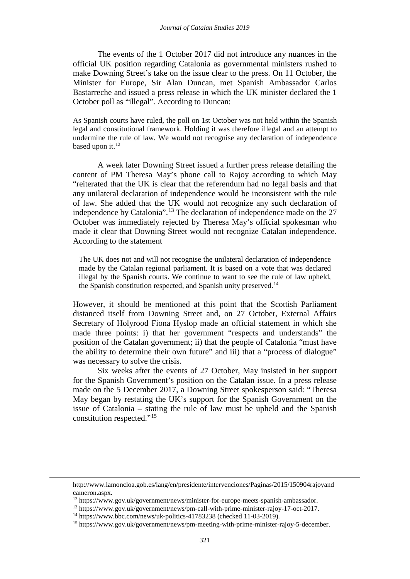The events of the 1 October 2017 did not introduce any nuances in the official UK position regarding Catalonia as governmental ministers rushed to make Downing Street's take on the issue clear to the press. On 11 October, the Minister for Europe, Sir Alan Duncan, met Spanish Ambassador Carlos Bastarreche and issued a press release in which the UK minister declared the 1 October poll as "illegal". According to Duncan:

As Spanish courts have ruled, the poll on 1st October was not held within the Spanish legal and constitutional framework. Holding it was therefore illegal and an attempt to undermine the rule of law. We would not recognise any declaration of independence based upon it.<sup>[12](#page-10-0)</sup>

A week later Downing Street issued a further press release detailing the content of PM Theresa May's phone call to Rajoy according to which May "reiterated that the UK is clear that the referendum had no legal basis and that any unilateral declaration of independence would be inconsistent with the rule of law. She added that the UK would not recognize any such declaration of independence by Catalonia".[13](#page-10-1) The declaration of independence made on the 27 October was immediately rejected by Theresa May's official spokesman who made it clear that Downing Street would not recognize Catalan independence. According to the statement

The UK does not and will not recognise the unilateral declaration of independence made by the Catalan regional parliament. It is based on a vote that was declared illegal by the Spanish courts. We continue to want to see the rule of law upheld, the Spanish constitution respected, and Spanish unity preserved.<sup>[14](#page-10-2)</sup>

However, it should be mentioned at this point that the Scottish Parliament distanced itself from Downing Street and, on 27 October, External Affairs Secretary of Holyrood Fiona Hyslop made an official statement in which she made three points: i) that her government "respects and understands" the position of the Catalan government; ii) that the people of Catalonia "must have the ability to determine their own future" and iii) that a "process of dialogue" was necessary to solve the crisis.

Six weeks after the events of 27 October, May insisted in her support for the Spanish Government's position on the Catalan issue. In a press release made on the 5 December 2017, a Downing Street spokesperson said: "Theresa May began by restating the UK's support for the Spanish Government on the issue of Catalonia – stating the rule of law must be upheld and the Spanish constitution respected."[15](#page-10-3)

[http://www.lamoncloa.gob.es/lang/en/presidente/intervenciones/Paginas/2015/150904rajoyand](http://www.lamoncloa.gob.es/lang/en/presidente/intervenciones/Paginas/2015/150904rajoyandcameron.aspx)

<span id="page-10-1"></span>

<span id="page-10-3"></span><span id="page-10-2"></span>

<span id="page-10-0"></span>cameron.aspx.<br>
<sup>12</sup> [https://www.gov.uk/government/news/minister-for-europe-meets-spanish-ambassador.](https://www.gov.uk/government/news/minister-for-europe-meets-spanish-ambassador)<br>
<sup>13</sup> [https://www.gov.uk/government/news/pm-call-with-prime-minister-rajoy-17-oct-2017.](https://www.gov.uk/government/news/pm-call-with-prime-minister-rajoy-17-oct-2017)<br>
<sup>14</sup> https://www.bbc.com/news/uk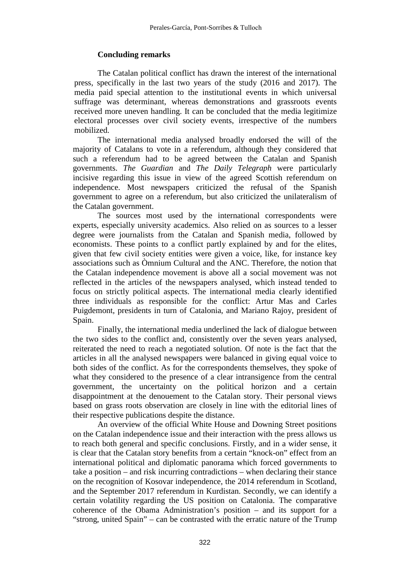# **Concluding remarks**

The Catalan political conflict has drawn the interest of the international press, specifically in the last two years of the study (2016 and 2017). The media paid special attention to the institutional events in which universal suffrage was determinant, whereas demonstrations and grassroots events received more uneven handling. It can be concluded that the media legitimize electoral processes over civil society events, irrespective of the numbers mobilized.

The international media analysed broadly endorsed the will of the majority of Catalans to vote in a referendum, although they considered that such a referendum had to be agreed between the Catalan and Spanish governments. *The Guardian* and *The Daily Telegraph* were particularly incisive regarding this issue in view of the agreed Scottish referendum on independence. Most newspapers criticized the refusal of the Spanish government to agree on a referendum, but also criticized the unilateralism of the Catalan government.

The sources most used by the international correspondents were experts, especially university academics. Also relied on as sources to a lesser degree were journalists from the Catalan and Spanish media, followed by economists. These points to a conflict partly explained by and for the elites, given that few civil society entities were given a voice, like, for instance key associations such as Òmnium Cultural and the ANC. Therefore, the notion that the Catalan independence movement is above all a social movement was not reflected in the articles of the newspapers analysed, which instead tended to focus on strictly political aspects. The international media clearly identified three individuals as responsible for the conflict: Artur Mas and Carles Puigdemont, presidents in turn of Catalonia, and Mariano Rajoy, president of Spain.

Finally, the international media underlined the lack of dialogue between the two sides to the conflict and, consistently over the seven years analysed, reiterated the need to reach a negotiated solution. Of note is the fact that the articles in all the analysed newspapers were balanced in giving equal voice to both sides of the conflict. As for the correspondents themselves, they spoke of what they considered to the presence of a clear intransigence from the central government, the uncertainty on the political horizon and a certain disappointment at the denouement to the Catalan story. Their personal views based on grass roots observation are closely in line with the editorial lines of their respective publications despite the distance.

An overview of the official White House and Downing Street positions on the Catalan independence issue and their interaction with the press allows us to reach both general and specific conclusions. Firstly, and in a wider sense, it is clear that the Catalan story benefits from a certain "knock-on" effect from an international political and diplomatic panorama which forced governments to take a position – and risk incurring contradictions – when declaring their stance on the recognition of Kosovar independence, the 2014 referendum in Scotland, and the September 2017 referendum in Kurdistan. Secondly, we can identify a certain volatility regarding the US position on Catalonia. The comparative coherence of the Obama Administration's position – and its support for a "strong, united Spain" – can be contrasted with the erratic nature of the Trump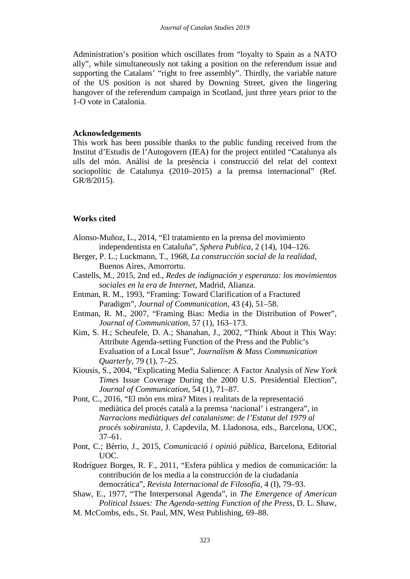Administration's position which oscillates from "loyalty to Spain as a NATO ally", while simultaneously not taking a position on the referendum issue and supporting the Catalans' "right to free assembly". Thirdly, the variable nature of the US position is not shared by Downing Street, given the lingering hangover of the referendum campaign in Scotland, just three years prior to the 1-O vote in Catalonia.

## **Acknowledgements**

This work has been possible thanks to the public funding received from the Institut d'Estudis de l'Autogovern (IEA) for the project entitled "Catalunya als ulls del món. Anàlisi de la presència i construcció del relat del context sociopolític de Catalunya (2010–2015) a la premsa internacional" (Ref. GR/8/2015).

# **Works cited**

- Alonso-Muñoz, L., 2014, "El tratamiento en la prensa del movimiento independentista en Cataluña", *Sphera Publica*, 2 (14), 104–126.
- Berger, P. L.; Luckmann, T., 1968, *La construcción social de la realidad*, Buenos Aires, Amorrortu.
- Castells, M., 2015, 2nd ed., *Redes de indignación y esperanza: los movimientos sociales en la era de Internet*, Madrid, Alianza.
- Entman, R. M., 1993, "Framing: Toward Clarification of a Fractured Paradigm", *Journal of Communication*, 43 (4), 51–58.
- Entman, R. M., 2007, "Framing Bias: Media in the Distribution of Power", *Journal of Communication*, 57 (1), 163–173.
- Kim, S. H.; Scheufele, D. A.; Shanahan, J., 2002, "Think About it This Way: Attribute Agenda-setting Function of the Press and the Public's Evaluation of a Local Issue", *Journalism & Mass Communication Quarterly*, 79 (1), 7–25.
- Kiousis, S., 2004, "Explicating Media Salience: A Factor Analysis of *New York Times* Issue Coverage During the 2000 U.S. Presidential Election", *Journal of Communication*, 54 (1), 71–87.
- Pont, C., 2016, "El món ens mira? Mites i realitats de la representació mediàtica del procés català a la premsa 'nacional' i estrangera", in *Narracions mediàtiques del catalanisme*: *de l'Estatut del 1979 al procés sobiranista*, J. Capdevila, M. Lladonosa, eds., Barcelona, UOC, 37–61.
- Pont, C.; Bèrrio, J., 2015, *Comunicació i opinió pública*, Barcelona, Editorial UOC.
- Rodríguez Borges, R. F., 2011, "Esfera pública y medios de comunicación: la contribución de los media a la construcción de la ciudadanía democrática", *Revista Internacional de Filosofía*, 4 (I), 79–93.
- Shaw, E., 1977, "The Interpersonal Agenda", in *The Emergence of American Political Issues: The Agenda-setting Function of the Press*, D. L. Shaw,
- M. McCombs, eds., St. Paul, MN, West Publishing, 69–88.